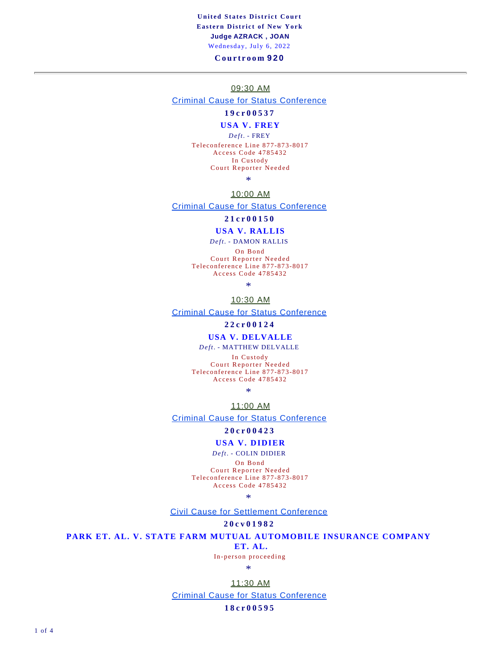### **United States District Court Eastern District of New York Judge AZRACK , JOAN**  Wednesday, July 6, 2022

#### **Courtroom 920**

#### 09:30 AM

### Criminal Cause for Status Conference

## **19cr00537**

## **USA V. FREY**

*Deft.* - FREY

Teleconference Line 877-873-8017 Access Code 4785432 In Custody Court Reporter Needed

\*

### 10:00 AM

Criminal Cause for Status Conference

#### **21cr00150**

# **USA V. RALLIS**

*Deft.* - DAMON RALLIS

On Bond Court Reporter Needed

Teleconference Line 877-873-8017 Access Code 4785432

\*

### 10:30 AM

Criminal Cause for Status Conference

#### **22cr00124**

#### **USA V. DELVALLE**

#### *Deft.* - MATTHEW DELVALLE

In Custody Court Reporter Needed Teleconference Line 877-873-8017 Access Code 4785432

\*

11:00 AM

Criminal Cause for Status Conference

#### **20cr00423**

#### **USA V. DIDIER**

*Deft.* - COLIN DIDIER

On Bond Court Reporter Needed Teleconference Line 877-873-8017 Access Code 4785432

\*

Civil Cause for Settlement Conference

#### **20cv01982**

**PARK ET. AL. V. STATE FARM MUTUAL AUTOMOBILE INSURANCE COMPANY**

**ET. AL.**

In-person proceeding

\*

11:30 AM Criminal Cause for Status Conference

#### **18cr00595**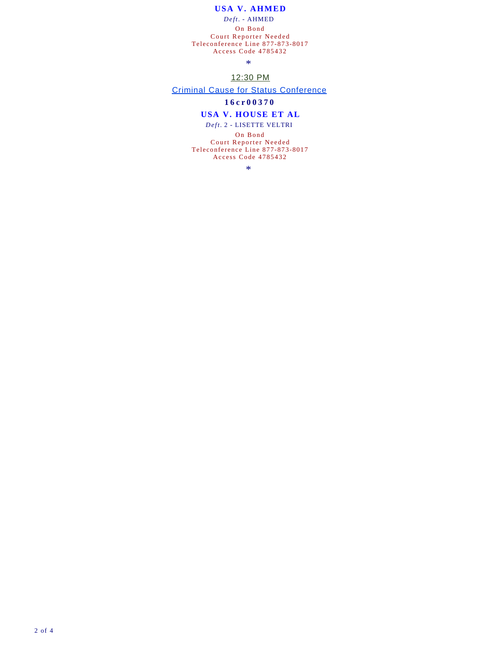## **USA V. AHMED**

*Deft.* - AHMED

On Bond Court Reporter Needed Teleconference Line 877-873-8017 Access Code 4785432

\*

## 12:30 PM

Criminal Cause for Status Conference

## **16cr00370**

#### **USA V. HOUSE ET AL**

*Deft.* 2 - LISETTE VELTRI

On Bond Court Reporter Needed Teleconference Line 877-873-8017 Access Code 4785432

\*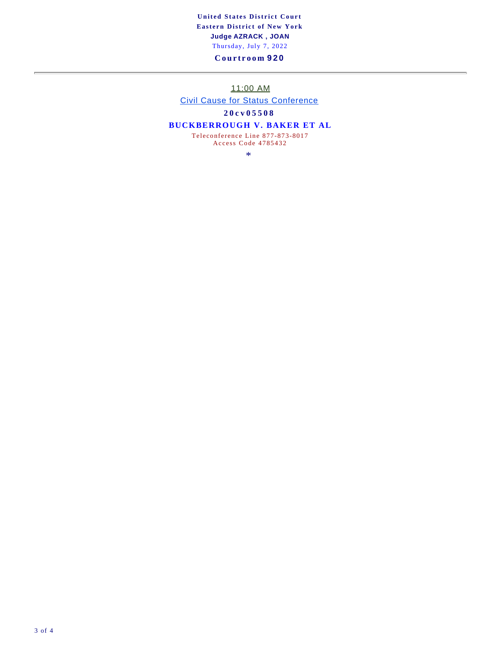## **United States District Court Eastern District of New York Judge AZRACK , JOAN**  Thursday, July 7, 2022

## **Courtroom 920**

11:00 AM

Civil Cause for Status Conference

**20cv05508**

## **BUCKBERROUGH V. BAKER ET AL**

Teleconference Line 877-873-8017 Access Code 4785432

\*